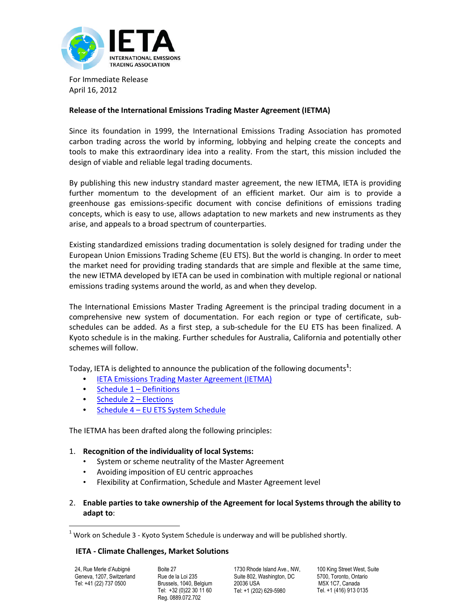

For Immediate Release April 16, 2012

# **Release of the International Emissions Trading Master Agreement (IETMA)**

Since its foundation in 1999, the International Emissions Trading Association has promoted carbon trading across the world by informing, lobbying and helping create the concepts and tools to make this extraordinary idea into a reality. From the start, this mission included the design of viable and reliable legal trading documents.

By publishing this new industry standard master agreement, the new IETMA, IETA is providing further momentum to the development of an efficient market. Our aim is to provide a greenhouse gas emissions-specific document with concise definitions of emissions trading concepts, which is easy to use, allows adaptation to new markets and new instruments as they arise, and appeals to a broad spectrum of counterparties.

Existing standardized emissions trading documentation is solely designed for trading under the European Union Emissions Trading Scheme (EU ETS). But the world is changing. In order to meet the market need for providing trading standards that are simple and flexible at the same time, the new IETMA developed by IETA can be used in combination with multiple regional or national emissions trading systems around the world, as and when they develop.

The International Emissions Master Trading Agreement is the principal trading document in a comprehensive new system of documentation. For each region or type of certificate, subschedules can be added. As a first step, a sub-schedule for the EU ETS has been finalized. A Kyoto schedule is in the making. Further schedules for Australia, California and potentially other schemes will follow.

Today, IETA is delighted to announce the publication of the following documents**[1](#page-0-0)** [:](#page-0-0)

- [IETA Emissions Trading Master Agreement \(IETMA\)](http://www.ieta.org/assets/Legal-WG/IETMARELEASEAPRIL2012/uk-2859472-v4-ietma_april_2012.pdf)
- [Schedule 1 Definitions](http://www.ieta.org/assets/Legal-WG/IETMARELEASEAPRIL2012/uk-2859472-v4-ietma_april_2012.pdf)
- [Schedule 2 Elections](http://www.ieta.org/assets/Legal-WG/IETMARELEASEAPRIL2012/uk-3040044-v1-ietma  schedule 2  elections.doc)
- [Schedule 4 EU ETS System Schedule](http://www.ieta.org/assets/Legal-WG/IETMARELEASEAPRIL2012/uk-2866191-v7-ietma_schedule_4_-_eu_ets_schedule.pdf)

The IETMA has been drafted along the following principles:

## 1. **Recognition of the individuality of local Systems:**

- System or scheme neutrality of the Master Agreement
- Avoiding imposition of EU centric approaches
- Flexibility at Confirmation, Schedule and Master Agreement level
- 2. **Enable parties to take ownership of the Agreement for local Systems through the ability to adapt to**:

#### **IETA - Climate Challenges, Market Solutions**

24, Rue Merle d'Aubigné Geneva, 1207, Switzerland Tel: +41 (22) 737 0500

Boite 27 Rue de la Loi 235 Brussels, 1040, Belgium Tel: +32 (0)22 30 11 60 Reg. 0889.072.702

1730 Rhode Island Ave., NW Suite 802, Washington, DC 20036 USA Tel: +1 (202) 629-5980

100 King Street West, Suite 5700, Toronto, Ontario M5X 1C7, Canada Tel. +1 (416) 913 0135

<span id="page-0-0"></span> $1$  Work on Schedule 3 - Kyoto System Schedule is underway and will be published shortly.